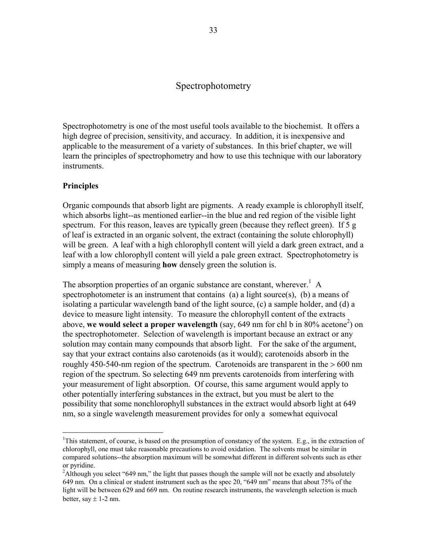## Spectrophotometry

Spectrophotometry is one of the most useful tools available to the biochemist. It offers a high degree of precision, sensitivity, and accuracy. In addition, it is inexpensive and applicable to the measurement of a variety of substances. In this brief chapter, we will learn the principles of spectrophometry and how to use this technique with our laboratory instruments.

## **Principles**

 $\overline{a}$ 

Organic compounds that absorb light are pigments. A ready example is chlorophyll itself, which absorbs light--as mentioned earlier--in the blue and red region of the visible light spectrum. For this reason, leaves are typically green (because they reflect green). If 5 g of leaf is extracted in an organic solvent, the extract (containing the solute chlorophyll) will be green. A leaf with a high chlorophyll content will yield a dark green extract, and a leaf with a low chlorophyll content will yield a pale green extract. Spectrophotometry is simply a means of measuring **how** densely green the solution is.

The absorption properties of an organic substance are constant, wherever.<sup>1</sup> A spectrophotometer is an instrument that contains (a) a light source(s), (b) a means of isolating a particular wavelength band of the light source, (c) a sample holder, and (d) a device to measure light intensity. To measure the chlorophyll content of the extracts above, we would select a proper wavelength (say, 649 nm for chl b in 80% acetone<sup>2</sup>) on the spectrophotometer. Selection of wavelength is important because an extract or any solution may contain many compounds that absorb light. For the sake of the argument, say that your extract contains also carotenoids (as it would); carotenoids absorb in the roughly 450-540-nm region of the spectrum. Carotenoids are transparent in the  $>600$  nm region of the spectrum. So selecting 649 nm prevents carotenoids from interfering with your measurement of light absorption. Of course, this same argument would apply to other potentially interfering substances in the extract, but you must be alert to the possibility that some nonchlorophyll substances in the extract would absorb light at 649 nm, so a single wavelength measurement provides for only a somewhat equivocal

<sup>&</sup>lt;sup>1</sup>This statement, of course, is based on the presumption of constancy of the system. E.g., in the extraction of chlorophyll, one must take reasonable precautions to avoid oxidation. The solvents must be similar in compared solutions--the absorption maximum will be somewhat different in different solvents such as ether or pyridine.

<sup>&</sup>lt;sup>2</sup>Although you select "649 nm," the light that passes though the sample will not be exactly and absolutely 649 nm. On a clinical or student instrument such as the spec 20, "649 nm" means that about 75% of the light will be between 629 and 669 nm. On routine research instruments, the wavelength selection is much better, say  $\pm$  1-2 nm.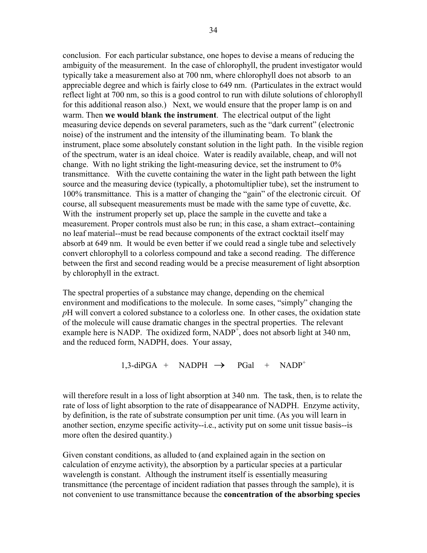conclusion. For each particular substance, one hopes to devise a means of reducing the ambiguity of the measurement. In the case of chlorophyll, the prudent investigator would typically take a measurement also at 700 nm, where chlorophyll does not absorb to an appreciable degree and which is fairly close to 649 nm. (Particulates in the extract would reflect light at 700 nm, so this is a good control to run with dilute solutions of chlorophyll for this additional reason also.) Next, we would ensure that the proper lamp is on and warm. Then **we would blank the instrument**. The electrical output of the light measuring device depends on several parameters, such as the "dark current" (electronic noise) of the instrument and the intensity of the illuminating beam. To blank the instrument, place some absolutely constant solution in the light path. In the visible region of the spectrum, water is an ideal choice. Water is readily available, cheap, and will not change. With no light striking the light-measuring device, set the instrument to 0% transmittance. With the cuvette containing the water in the light path between the light source and the measuring device (typically, a photomultiplier tube), set the instrument to 100% transmittance. This is a matter of changing the "gain" of the electronic circuit. Of course, all subsequent measurements must be made with the same type of cuvette, &c. With the instrument properly set up, place the sample in the cuvette and take a measurement. Proper controls must also be run; in this case, a sham extract--containing no leaf material--must be read because components of the extract cocktail itself may absorb at 649 nm. It would be even better if we could read a single tube and selectively convert chlorophyll to a colorless compound and take a second reading. The difference between the first and second reading would be a precise measurement of light absorption by chlorophyll in the extract.

The spectral properties of a substance may change, depending on the chemical environment and modifications to the molecule. In some cases, "simply" changing the *p*H will convert a colored substance to a colorless one. In other cases, the oxidation state of the molecule will cause dramatic changes in the spectral properties. The relevant example here is NADP. The oxidized form,  $NADP<sup>+</sup>$ , does not absorb light at 340 nm, and the reduced form, NADPH, does. Your assay,

 $1,3$ -diPGA + NADPH  $\rightarrow$  PGal + NADP<sup>+</sup>

will therefore result in a loss of light absorption at 340 nm. The task, then, is to relate the rate of loss of light absorption to the rate of disappearance of NADPH. Enzyme activity, by definition, is the rate of substrate consumption per unit time. (As you will learn in another section, enzyme specific activity--i.e., activity put on some unit tissue basis--is more often the desired quantity.)

Given constant conditions, as alluded to (and explained again in the section on calculation of enzyme activity), the absorption by a particular species at a particular wavelength is constant. Although the instrument itself is essentially measuring transmittance (the percentage of incident radiation that passes through the sample), it is not convenient to use transmittance because the **concentration of the absorbing species**